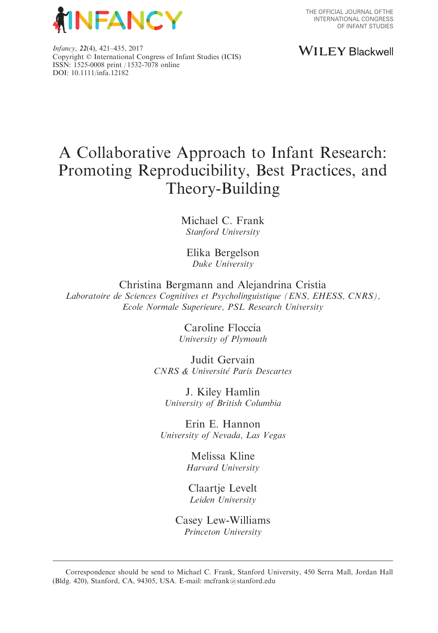

THE OFFICIAL JOURNAL OF THE INTERNATIONAL CONGRESS OF INFANT STUDIES

Infancy, 22(4), 421–435, 2017 Copyright © International Congress of Infant Studies (ICIS) ISSN: 1525-0008 print / 1532-7078 online DOI: 10.1111/infa.12182

**WILEY Blackwell** 

# A Collaborative Approach to Infant Research: Promoting Reproducibility, Best Practices, and Theory-Building

Michael C. Frank Stanford University

Elika Bergelson Duke University

Christina Bergmann and Alejandrina Cristia Laboratoire de Sciences Cognitives et Psycholinguistique (ENS, EHESS, CNRS), Ecole Normale Superieure, PSL Research University

> Caroline Floccia University of Plymouth

Judit Gervain CNRS & Universite Paris Descartes

J. Kiley Hamlin University of British Columbia

Erin E. Hannon University of Nevada, Las Vegas

> Melissa Kline Harvard University

Claartje Levelt Leiden University

Casey Lew-Williams Princeton University

Correspondence should be send to Michael C. Frank, Stanford University, 450 Serra Mall, Jordan Hall (Bldg. 420), Stanford, CA, 94305, USA. E-mail: mcfrank@stanford.edu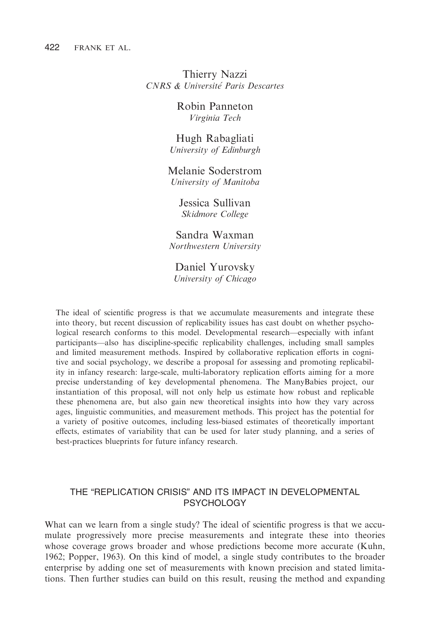# Thierry Nazzi CNRS & Université Paris Descartes

Robin Panneton Virginia Tech

Hugh Rabagliati University of Edinburgh

Melanie Soderstrom University of Manitoba

> Jessica Sullivan Skidmore College

Sandra Waxman Northwestern University

Daniel Yurovsky University of Chicago

The ideal of scientific progress is that we accumulate measurements and integrate these into theory, but recent discussion of replicability issues has cast doubt on whether psychological research conforms to this model. Developmental research—especially with infant participants—also has discipline-specific replicability challenges, including small samples and limited measurement methods. Inspired by collaborative replication efforts in cognitive and social psychology, we describe a proposal for assessing and promoting replicability in infancy research: large-scale, multi-laboratory replication efforts aiming for a more precise understanding of key developmental phenomena. The ManyBabies project, our instantiation of this proposal, will not only help us estimate how robust and replicable these phenomena are, but also gain new theoretical insights into how they vary across ages, linguistic communities, and measurement methods. This project has the potential for a variety of positive outcomes, including less-biased estimates of theoretically important effects, estimates of variability that can be used for later study planning, and a series of best-practices blueprints for future infancy research.

# THE "REPLICATION CRISIS" AND ITS IMPACT IN DEVELOPMENTAL PSYCHOLOGY

What can we learn from a single study? The ideal of scientific progress is that we accumulate progressively more precise measurements and integrate these into theories whose coverage grows broader and whose predictions become more accurate (Kuhn, 1962; Popper, 1963). On this kind of model, a single study contributes to the broader enterprise by adding one set of measurements with known precision and stated limitations. Then further studies can build on this result, reusing the method and expanding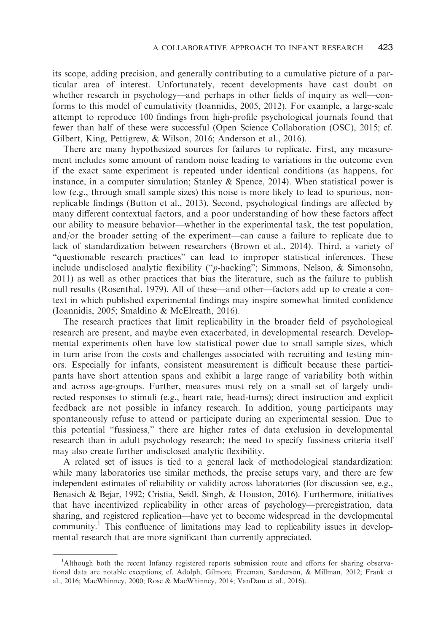its scope, adding precision, and generally contributing to a cumulative picture of a particular area of interest. Unfortunately, recent developments have cast doubt on whether research in psychology—and perhaps in other fields of inquiry as well—conforms to this model of cumulativity (Ioannidis, 2005, 2012). For example, a large-scale attempt to reproduce 100 findings from high-profile psychological journals found that fewer than half of these were successful (Open Science Collaboration (OSC), 2015; cf. Gilbert, King, Pettigrew, & Wilson, 2016; Anderson et al., 2016).

There are many hypothesized sources for failures to replicate. First, any measurement includes some amount of random noise leading to variations in the outcome even if the exact same experiment is repeated under identical conditions (as happens, for instance, in a computer simulation; Stanley & Spence, 2014). When statistical power is low (e.g., through small sample sizes) this noise is more likely to lead to spurious, nonreplicable findings (Button et al., 2013). Second, psychological findings are affected by many different contextual factors, and a poor understanding of how these factors affect our ability to measure behavior—whether in the experimental task, the test population, and/or the broader setting of the experiment—can cause a failure to replicate due to lack of standardization between researchers (Brown et al., 2014). Third, a variety of "questionable research practices" can lead to improper statistical inferences. These include undisclosed analytic flexibility ("p-hacking"; Simmons, Nelson, & Simonsohn, 2011) as well as other practices that bias the literature, such as the failure to publish null results (Rosenthal, 1979). All of these—and other—factors add up to create a context in which published experimental findings may inspire somewhat limited confidence (Ioannidis, 2005; Smaldino & McElreath, 2016).

The research practices that limit replicability in the broader field of psychological research are present, and maybe even exacerbated, in developmental research. Developmental experiments often have low statistical power due to small sample sizes, which in turn arise from the costs and challenges associated with recruiting and testing minors. Especially for infants, consistent measurement is difficult because these participants have short attention spans and exhibit a large range of variability both within and across age-groups. Further, measures must rely on a small set of largely undirected responses to stimuli (e.g., heart rate, head-turns); direct instruction and explicit feedback are not possible in infancy research. In addition, young participants may spontaneously refuse to attend or participate during an experimental session. Due to this potential "fussiness," there are higher rates of data exclusion in developmental research than in adult psychology research; the need to specify fussiness criteria itself may also create further undisclosed analytic flexibility.

A related set of issues is tied to a general lack of methodological standardization: while many laboratories use similar methods, the precise setups vary, and there are few independent estimates of reliability or validity across laboratories (for discussion see, e.g., Benasich & Bejar, 1992; Cristia, Seidl, Singh, & Houston, 2016). Furthermore, initiatives that have incentivized replicability in other areas of psychology—preregistration, data sharing, and registered replication—have yet to become widespread in the developmental community.<sup>1</sup> This confluence of limitations may lead to replicability issues in developmental research that are more significant than currently appreciated.

<sup>1</sup> Although both the recent Infancy registered reports submission route and efforts for sharing observational data are notable exceptions; cf. Adolph, Gilmore, Freeman, Sanderson, & Millman, 2012; Frank et al., 2016; MacWhinney, 2000; Rose & MacWhinney, 2014; VanDam et al., 2016).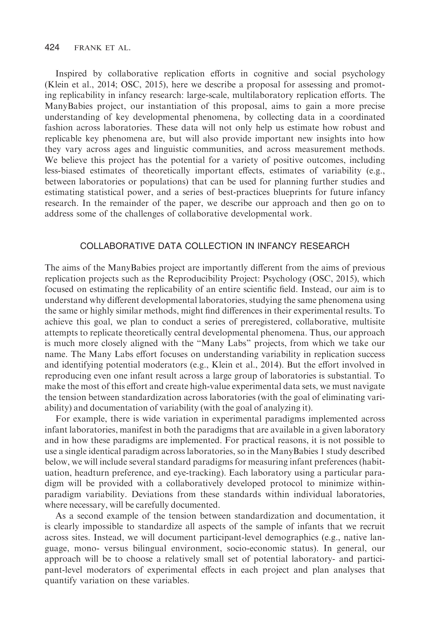Inspired by collaborative replication efforts in cognitive and social psychology (Klein et al., 2014; OSC, 2015), here we describe a proposal for assessing and promoting replicability in infancy research: large-scale, multilaboratory replication efforts. The ManyBabies project, our instantiation of this proposal, aims to gain a more precise understanding of key developmental phenomena, by collecting data in a coordinated fashion across laboratories. These data will not only help us estimate how robust and replicable key phenomena are, but will also provide important new insights into how they vary across ages and linguistic communities, and across measurement methods. We believe this project has the potential for a variety of positive outcomes, including less-biased estimates of theoretically important effects, estimates of variability (e.g., between laboratories or populations) that can be used for planning further studies and estimating statistical power, and a series of best-practices blueprints for future infancy research. In the remainder of the paper, we describe our approach and then go on to address some of the challenges of collaborative developmental work.

## COLLABORATIVE DATA COLLECTION IN INFANCY RESEARCH

The aims of the ManyBabies project are importantly different from the aims of previous replication projects such as the Reproducibility Project: Psychology (OSC, 2015), which focused on estimating the replicability of an entire scientific field. Instead, our aim is to understand why different developmental laboratories, studying the same phenomena using the same or highly similar methods, might find differences in their experimental results. To achieve this goal, we plan to conduct a series of preregistered, collaborative, multisite attempts to replicate theoretically central developmental phenomena. Thus, our approach is much more closely aligned with the "Many Labs" projects, from which we take our name. The Many Labs effort focuses on understanding variability in replication success and identifying potential moderators (e.g., Klein et al., 2014). But the effort involved in reproducing even one infant result across a large group of laboratories is substantial. To make the most of this effort and create high-value experimental data sets, we must navigate the tension between standardization across laboratories (with the goal of eliminating variability) and documentation of variability (with the goal of analyzing it).

For example, there is wide variation in experimental paradigms implemented across infant laboratories, manifest in both the paradigms that are available in a given laboratory and in how these paradigms are implemented. For practical reasons, it is not possible to use a single identical paradigm across laboratories, so in the ManyBabies 1 study described below, we will include several standard paradigms for measuring infant preferences (habituation, headturn preference, and eye-tracking). Each laboratory using a particular paradigm will be provided with a collaboratively developed protocol to minimize withinparadigm variability. Deviations from these standards within individual laboratories, where necessary, will be carefully documented.

As a second example of the tension between standardization and documentation, it is clearly impossible to standardize all aspects of the sample of infants that we recruit across sites. Instead, we will document participant-level demographics (e.g., native language, mono- versus bilingual environment, socio-economic status). In general, our approach will be to choose a relatively small set of potential laboratory- and participant-level moderators of experimental effects in each project and plan analyses that quantify variation on these variables.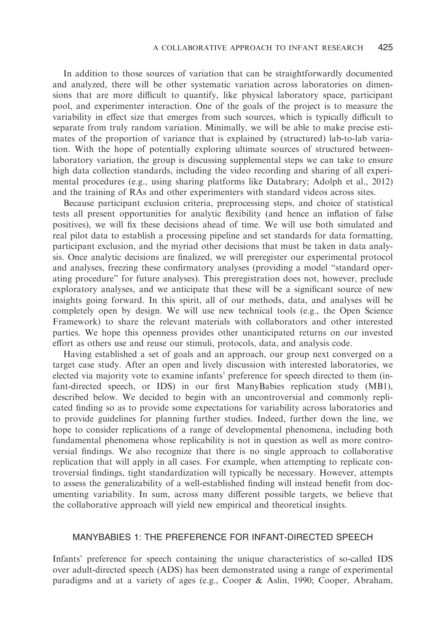In addition to those sources of variation that can be straightforwardly documented and analyzed, there will be other systematic variation across laboratories on dimensions that are more difficult to quantify, like physical laboratory space, participant pool, and experimenter interaction. One of the goals of the project is to measure the variability in effect size that emerges from such sources, which is typically difficult to separate from truly random variation. Minimally, we will be able to make precise estimates of the proportion of variance that is explained by (structured) lab-to-lab variation. With the hope of potentially exploring ultimate sources of structured betweenlaboratory variation, the group is discussing supplemental steps we can take to ensure high data collection standards, including the video recording and sharing of all experimental procedures (e.g., using sharing platforms like Databrary; Adolph et al., 2012) and the training of RAs and other experimenters with standard videos across sites.

Because participant exclusion criteria, preprocessing steps, and choice of statistical tests all present opportunities for analytic flexibility (and hence an inflation of false positives), we will fix these decisions ahead of time. We will use both simulated and real pilot data to establish a processing pipeline and set standards for data formatting, participant exclusion, and the myriad other decisions that must be taken in data analysis. Once analytic decisions are finalized, we will preregister our experimental protocol and analyses, freezing these confirmatory analyses (providing a model "standard operating procedure" for future analyses). This preregistration does not, however, preclude exploratory analyses, and we anticipate that these will be a significant source of new insights going forward. In this spirit, all of our methods, data, and analyses will be completely open by design. We will use new technical tools (e.g., the Open Science Framework) to share the relevant materials with collaborators and other interested parties. We hope this openness provides other unanticipated returns on our invested effort as others use and reuse our stimuli, protocols, data, and analysis code.

Having established a set of goals and an approach, our group next converged on a target case study. After an open and lively discussion with interested laboratories, we elected via majority vote to examine infants' preference for speech directed to them (infant-directed speech, or IDS) in our first ManyBabies replication study (MB1), described below. We decided to begin with an uncontroversial and commonly replicated finding so as to provide some expectations for variability across laboratories and to provide guidelines for planning further studies. Indeed, further down the line, we hope to consider replications of a range of developmental phenomena, including both fundamental phenomena whose replicability is not in question as well as more controversial findings. We also recognize that there is no single approach to collaborative replication that will apply in all cases. For example, when attempting to replicate controversial findings, tight standardization will typically be necessary. However, attempts to assess the generalizability of a well-established finding will instead benefit from documenting variability. In sum, across many different possible targets, we believe that the collaborative approach will yield new empirical and theoretical insights.

## MANYBABIES 1: THE PREFERENCE FOR INFANT-DIRECTED SPEECH

Infants' preference for speech containing the unique characteristics of so-called IDS over adult-directed speech (ADS) has been demonstrated using a range of experimental paradigms and at a variety of ages (e.g., Cooper & Aslin, 1990; Cooper, Abraham,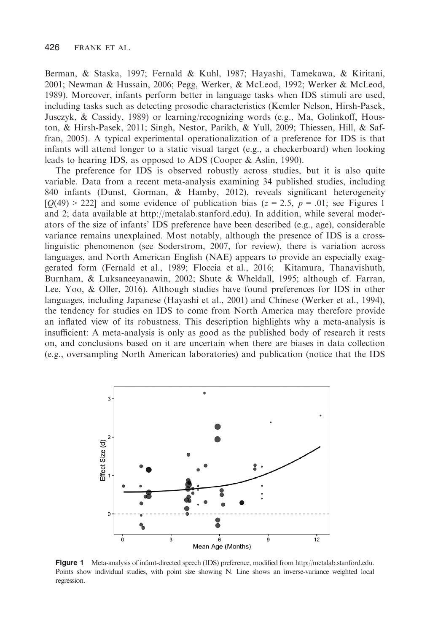Berman, & Staska, 1997; Fernald & Kuhl, 1987; Hayashi, Tamekawa, & Kiritani, 2001; Newman & Hussain, 2006; Pegg, Werker, & McLeod, 1992; Werker & McLeod, 1989). Moreover, infants perform better in language tasks when IDS stimuli are used, including tasks such as detecting prosodic characteristics (Kemler Nelson, Hirsh-Pasek, Jusczyk, & Cassidy, 1989) or learning/recognizing words (e.g., Ma, Golinkoff, Houston, & Hirsh-Pasek, 2011; Singh, Nestor, Parikh, & Yull, 2009; Thiessen, Hill, & Saffran, 2005). A typical experimental operationalization of a preference for IDS is that infants will attend longer to a static visual target (e.g., a checkerboard) when looking leads to hearing IDS, as opposed to ADS (Cooper & Aslin, 1990).

The preference for IDS is observed robustly across studies, but it is also quite variable. Data from a recent meta-analysis examining 34 published studies, including 840 infants (Dunst, Gorman, & Hamby, 2012), reveals significant heterogeneity  $[Q(49) > 222]$  and some evidence of publication bias ( $z = 2.5$ ,  $p = .01$ ; see Figures 1 and 2; data available at [http://metalab.stanford.edu\)](http://metalab.stanford.edu). In addition, while several moderators of the size of infants' IDS preference have been described (e.g., age), considerable variance remains unexplained. Most notably, although the presence of IDS is a crosslinguistic phenomenon (see Soderstrom, 2007, for review), there is variation across languages, and North American English (NAE) appears to provide an especially exaggerated form (Fernald et al., 1989; Floccia et al., 2016; Kitamura, Thanavishuth, Burnham, & Luksaneeyanawin, 2002; Shute & Wheldall, 1995; although cf. Farran, Lee, Yoo, & Oller, 2016). Although studies have found preferences for IDS in other languages, including Japanese (Hayashi et al., 2001) and Chinese (Werker et al., 1994), the tendency for studies on IDS to come from North America may therefore provide an inflated view of its robustness. This description highlights why a meta-analysis is insufficient: A meta-analysis is only as good as the published body of research it rests on, and conclusions based on it are uncertain when there are biases in data collection (e.g., oversampling North American laboratories) and publication (notice that the IDS



Figure 1 Meta-analysis of infant-directed speech (IDS) preference, modified from<http://metalab.stanford.edu>. Points show individual studies, with point size showing N. Line shows an inverse-variance weighted local regression.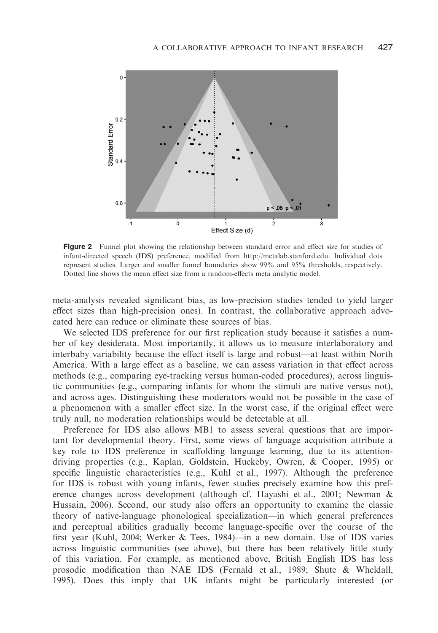

Figure 2 Funnel plot showing the relationship between standard error and effect size for studies of infant-directed speech (IDS) preference, modified from<http://metalab.stanford.edu>. Individual dots represent studies. Larger and smaller funnel boundaries show 99% and 95% thresholds, respectively. Dotted line shows the mean effect size from a random-effects meta analytic model.

meta-analysis revealed significant bias, as low-precision studies tended to yield larger effect sizes than high-precision ones). In contrast, the collaborative approach advocated here can reduce or eliminate these sources of bias.

We selected IDS preference for our first replication study because it satisfies a number of key desiderata. Most importantly, it allows us to measure interlaboratory and interbaby variability because the effect itself is large and robust—at least within North America. With a large effect as a baseline, we can assess variation in that effect across methods (e.g., comparing eye-tracking versus human-coded procedures), across linguistic communities (e.g., comparing infants for whom the stimuli are native versus not), and across ages. Distinguishing these moderators would not be possible in the case of a phenomenon with a smaller effect size. In the worst case, if the original effect were truly null, no moderation relationships would be detectable at all.

Preference for IDS also allows MB1 to assess several questions that are important for developmental theory. First, some views of language acquisition attribute a key role to IDS preference in scaffolding language learning, due to its attentiondriving properties (e.g., Kaplan, Goldstein, Huckeby, Owren, & Cooper, 1995) or specific linguistic characteristics (e.g., Kuhl et al., 1997). Although the preference for IDS is robust with young infants, fewer studies precisely examine how this preference changes across development (although cf. Hayashi et al., 2001; Newman & Hussain, 2006). Second, our study also offers an opportunity to examine the classic theory of native-language phonological specialization—in which general preferences and perceptual abilities gradually become language-specific over the course of the first year (Kuhl, 2004; Werker & Tees, 1984)—in a new domain. Use of IDS varies across linguistic communities (see above), but there has been relatively little study of this variation. For example, as mentioned above, British English IDS has less prosodic modification than NAE IDS (Fernald et al., 1989; Shute & Wheldall, 1995). Does this imply that UK infants might be particularly interested (or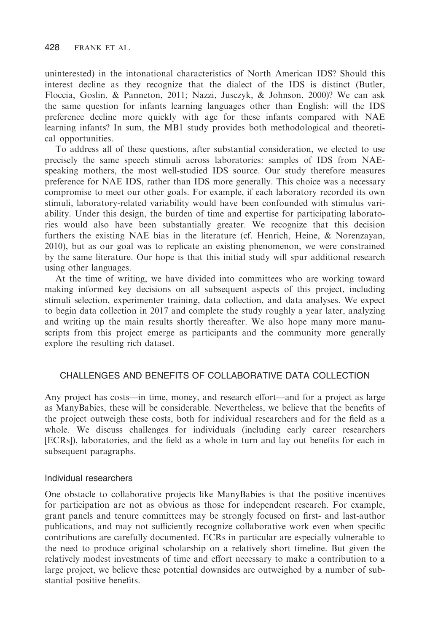uninterested) in the intonational characteristics of North American IDS? Should this interest decline as they recognize that the dialect of the IDS is distinct (Butler, Floccia, Goslin, & Panneton, 2011; Nazzi, Jusczyk, & Johnson, 2000)? We can ask the same question for infants learning languages other than English: will the IDS preference decline more quickly with age for these infants compared with NAE learning infants? In sum, the MB1 study provides both methodological and theoretical opportunities.

To address all of these questions, after substantial consideration, we elected to use precisely the same speech stimuli across laboratories: samples of IDS from NAEspeaking mothers, the most well-studied IDS source. Our study therefore measures preference for NAE IDS, rather than IDS more generally. This choice was a necessary compromise to meet our other goals. For example, if each laboratory recorded its own stimuli, laboratory-related variability would have been confounded with stimulus variability. Under this design, the burden of time and expertise for participating laboratories would also have been substantially greater. We recognize that this decision furthers the existing NAE bias in the literature (cf. Henrich, Heine, & Norenzayan, 2010), but as our goal was to replicate an existing phenomenon, we were constrained by the same literature. Our hope is that this initial study will spur additional research using other languages.

At the time of writing, we have divided into committees who are working toward making informed key decisions on all subsequent aspects of this project, including stimuli selection, experimenter training, data collection, and data analyses. We expect to begin data collection in 2017 and complete the study roughly a year later, analyzing and writing up the main results shortly thereafter. We also hope many more manuscripts from this project emerge as participants and the community more generally explore the resulting rich dataset.

# CHALLENGES AND BENEFITS OF COLLABORATIVE DATA COLLECTION

Any project has costs—in time, money, and research effort—and for a project as large as ManyBabies, these will be considerable. Nevertheless, we believe that the benefits of the project outweigh these costs, both for individual researchers and for the field as a whole. We discuss challenges for individuals (including early career researchers [ECRs]), laboratories, and the field as a whole in turn and lay out benefits for each in subsequent paragraphs.

#### Individual researchers

One obstacle to collaborative projects like ManyBabies is that the positive incentives for participation are not as obvious as those for independent research. For example, grant panels and tenure committees may be strongly focused on first- and last-author publications, and may not sufficiently recognize collaborative work even when specific contributions are carefully documented. ECRs in particular are especially vulnerable to the need to produce original scholarship on a relatively short timeline. But given the relatively modest investments of time and effort necessary to make a contribution to a large project, we believe these potential downsides are outweighed by a number of substantial positive benefits.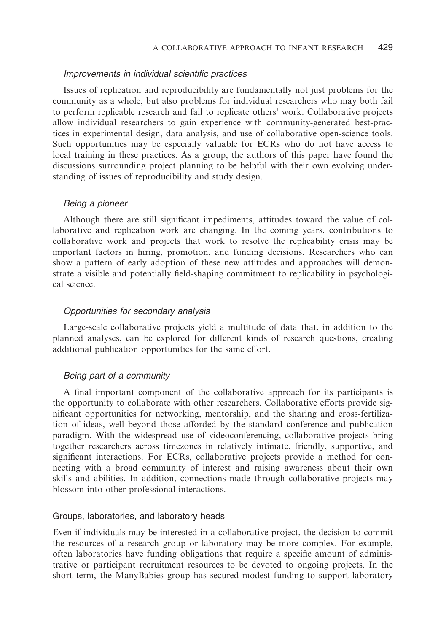#### Improvements in individual scientific practices

Issues of replication and reproducibility are fundamentally not just problems for the community as a whole, but also problems for individual researchers who may both fail to perform replicable research and fail to replicate others' work. Collaborative projects allow individual researchers to gain experience with community-generated best-practices in experimental design, data analysis, and use of collaborative open-science tools. Such opportunities may be especially valuable for ECRs who do not have access to local training in these practices. As a group, the authors of this paper have found the discussions surrounding project planning to be helpful with their own evolving understanding of issues of reproducibility and study design.

#### Being a pioneer

Although there are still significant impediments, attitudes toward the value of collaborative and replication work are changing. In the coming years, contributions to collaborative work and projects that work to resolve the replicability crisis may be important factors in hiring, promotion, and funding decisions. Researchers who can show a pattern of early adoption of these new attitudes and approaches will demonstrate a visible and potentially field-shaping commitment to replicability in psychological science.

#### Opportunities for secondary analysis

Large-scale collaborative projects yield a multitude of data that, in addition to the planned analyses, can be explored for different kinds of research questions, creating additional publication opportunities for the same effort.

#### Being part of a community

A final important component of the collaborative approach for its participants is the opportunity to collaborate with other researchers. Collaborative efforts provide significant opportunities for networking, mentorship, and the sharing and cross-fertilization of ideas, well beyond those afforded by the standard conference and publication paradigm. With the widespread use of videoconferencing, collaborative projects bring together researchers across timezones in relatively intimate, friendly, supportive, and significant interactions. For ECRs, collaborative projects provide a method for connecting with a broad community of interest and raising awareness about their own skills and abilities. In addition, connections made through collaborative projects may blossom into other professional interactions.

#### Groups, laboratories, and laboratory heads

Even if individuals may be interested in a collaborative project, the decision to commit the resources of a research group or laboratory may be more complex. For example, often laboratories have funding obligations that require a specific amount of administrative or participant recruitment resources to be devoted to ongoing projects. In the short term, the ManyBabies group has secured modest funding to support laboratory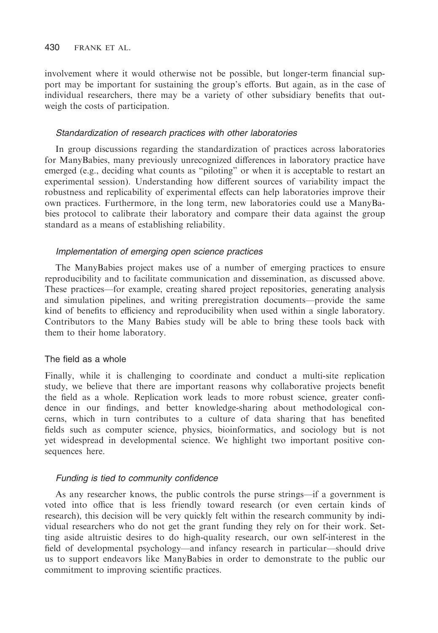involvement where it would otherwise not be possible, but longer-term financial support may be important for sustaining the group's efforts. But again, as in the case of individual researchers, there may be a variety of other subsidiary benefits that outweigh the costs of participation.

## Standardization of research practices with other laboratories

In group discussions regarding the standardization of practices across laboratories for ManyBabies, many previously unrecognized differences in laboratory practice have emerged (e.g., deciding what counts as "piloting" or when it is acceptable to restart an experimental session). Understanding how different sources of variability impact the robustness and replicability of experimental effects can help laboratories improve their own practices. Furthermore, in the long term, new laboratories could use a ManyBabies protocol to calibrate their laboratory and compare their data against the group standard as a means of establishing reliability.

## Implementation of emerging open science practices

The ManyBabies project makes use of a number of emerging practices to ensure reproducibility and to facilitate communication and dissemination, as discussed above. These practices—for example, creating shared project repositories, generating analysis and simulation pipelines, and writing preregistration documents—provide the same kind of benefits to efficiency and reproducibility when used within a single laboratory. Contributors to the Many Babies study will be able to bring these tools back with them to their home laboratory.

# The field as a whole

Finally, while it is challenging to coordinate and conduct a multi-site replication study, we believe that there are important reasons why collaborative projects benefit the field as a whole. Replication work leads to more robust science, greater confidence in our findings, and better knowledge-sharing about methodological concerns, which in turn contributes to a culture of data sharing that has benefited fields such as computer science, physics, bioinformatics, and sociology but is not yet widespread in developmental science. We highlight two important positive consequences here.

# Funding is tied to community confidence

As any researcher knows, the public controls the purse strings—if a government is voted into office that is less friendly toward research (or even certain kinds of research), this decision will be very quickly felt within the research community by individual researchers who do not get the grant funding they rely on for their work. Setting aside altruistic desires to do high-quality research, our own self-interest in the field of developmental psychology—and infancy research in particular—should drive us to support endeavors like ManyBabies in order to demonstrate to the public our commitment to improving scientific practices.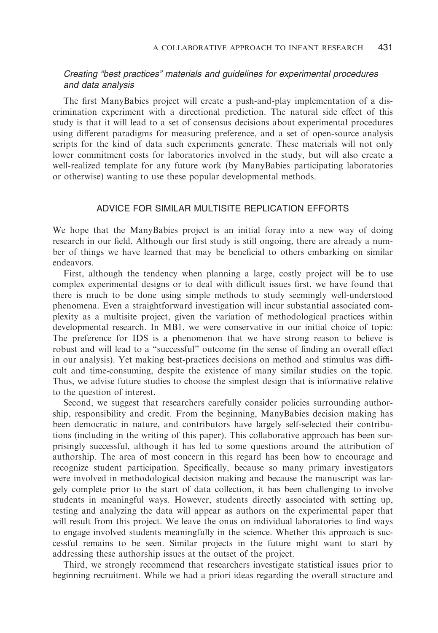## Creating "best practices" materials and guidelines for experimental procedures and data analysis

The first ManyBabies project will create a push-and-play implementation of a discrimination experiment with a directional prediction. The natural side effect of this study is that it will lead to a set of consensus decisions about experimental procedures using different paradigms for measuring preference, and a set of open-source analysis scripts for the kind of data such experiments generate. These materials will not only lower commitment costs for laboratories involved in the study, but will also create a well-realized template for any future work (by ManyBabies participating laboratories or otherwise) wanting to use these popular developmental methods.

## ADVICE FOR SIMILAR MULTISITE REPLICATION EFFORTS

We hope that the ManyBabies project is an initial foray into a new way of doing research in our field. Although our first study is still ongoing, there are already a number of things we have learned that may be beneficial to others embarking on similar endeavors.

First, although the tendency when planning a large, costly project will be to use complex experimental designs or to deal with difficult issues first, we have found that there is much to be done using simple methods to study seemingly well-understood phenomena. Even a straightforward investigation will incur substantial associated complexity as a multisite project, given the variation of methodological practices within developmental research. In MB1, we were conservative in our initial choice of topic: The preference for IDS is a phenomenon that we have strong reason to believe is robust and will lead to a "successful" outcome (in the sense of finding an overall effect in our analysis). Yet making best-practices decisions on method and stimulus was difficult and time-consuming, despite the existence of many similar studies on the topic. Thus, we advise future studies to choose the simplest design that is informative relative to the question of interest.

Second, we suggest that researchers carefully consider policies surrounding authorship, responsibility and credit. From the beginning, ManyBabies decision making has been democratic in nature, and contributors have largely self-selected their contributions (including in the writing of this paper). This collaborative approach has been surprisingly successful, although it has led to some questions around the attribution of authorship. The area of most concern in this regard has been how to encourage and recognize student participation. Specifically, because so many primary investigators were involved in methodological decision making and because the manuscript was largely complete prior to the start of data collection, it has been challenging to involve students in meaningful ways. However, students directly associated with setting up, testing and analyzing the data will appear as authors on the experimental paper that will result from this project. We leave the onus on individual laboratories to find ways to engage involved students meaningfully in the science. Whether this approach is successful remains to be seen. Similar projects in the future might want to start by addressing these authorship issues at the outset of the project.

Third, we strongly recommend that researchers investigate statistical issues prior to beginning recruitment. While we had a priori ideas regarding the overall structure and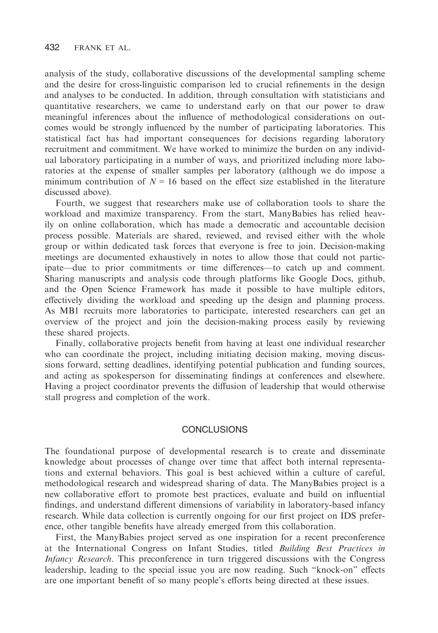analysis of the study, collaborative discussions of the developmental sampling scheme and the desire for cross-linguistic comparison led to crucial refinements in the design and analyses to be conducted. In addition, through consultation with statisticians and quantitative researchers, we came to understand early on that our power to draw meaningful inferences about the influence of methodological considerations on outcomes would be strongly influenced by the number of participating laboratories. This statistical fact has had important consequences for decisions regarding laboratory recruitment and commitment. We have worked to minimize the burden on any individual laboratory participating in a number of ways, and prioritized including more laboratories at the expense of smaller samples per laboratory (although we do impose a minimum contribution of  $N = 16$  based on the effect size established in the literature discussed above).

Fourth, we suggest that researchers make use of collaboration tools to share the workload and maximize transparency. From the start, ManyBabies has relied heavily on online collaboration, which has made a democratic and accountable decision process possible. Materials are shared, reviewed, and revised either with the whole group or within dedicated task forces that everyone is free to join. Decision-making meetings are documented exhaustively in notes to allow those that could not participate—due to prior commitments or time differences—to catch up and comment. Sharing manuscripts and analysis code through platforms like Google Docs, github, and the Open Science Framework has made it possible to have multiple editors, effectively dividing the workload and speeding up the design and planning process. As MB1 recruits more laboratories to participate, interested researchers can get an overview of the project and join the decision-making process easily by reviewing these shared projects.

Finally, collaborative projects benefit from having at least one individual researcher who can coordinate the project, including initiating decision making, moving discussions forward, setting deadlines, identifying potential publication and funding sources, and acting as spokesperson for disseminating findings at conferences and elsewhere. Having a project coordinator prevents the diffusion of leadership that would otherwise stall progress and completion of the work.

## **CONCLUSIONS**

The foundational purpose of developmental research is to create and disseminate knowledge about processes of change over time that affect both internal representations and external behaviors. This goal is best achieved within a culture of careful, methodological research and widespread sharing of data. The ManyBabies project is a new collaborative effort to promote best practices, evaluate and build on influential findings, and understand different dimensions of variability in laboratory-based infancy research. While data collection is currently ongoing for our first project on IDS preference, other tangible benefits have already emerged from this collaboration.

First, the ManyBabies project served as one inspiration for a recent preconference at the International Congress on Infant Studies, titled Building Best Practices in Infancy Research. This preconference in turn triggered discussions with the Congress leadership, leading to the special issue you are now reading. Such "knock-on" effects are one important benefit of so many people's efforts being directed at these issues.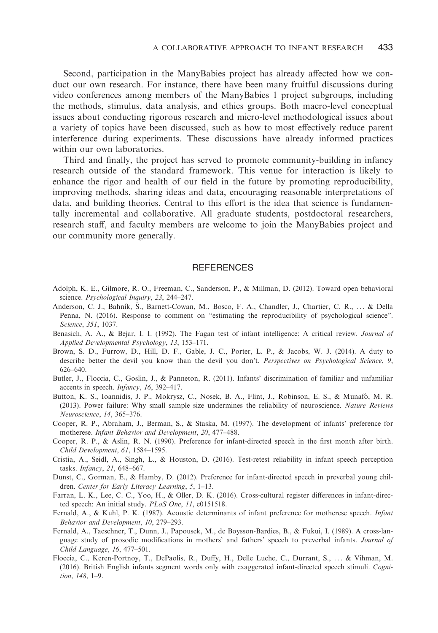Second, participation in the ManyBabies project has already affected how we conduct our own research. For instance, there have been many fruitful discussions during video conferences among members of the ManyBabies 1 project subgroups, including the methods, stimulus, data analysis, and ethics groups. Both macro-level conceptual issues about conducting rigorous research and micro-level methodological issues about a variety of topics have been discussed, such as how to most effectively reduce parent interference during experiments. These discussions have already informed practices within our own laboratories.

Third and finally, the project has served to promote community-building in infancy research outside of the standard framework. This venue for interaction is likely to enhance the rigor and health of our field in the future by promoting reproducibility, improving methods, sharing ideas and data, encouraging reasonable interpretations of data, and building theories. Central to this effort is the idea that science is fundamentally incremental and collaborative. All graduate students, postdoctoral researchers, research staff, and faculty members are welcome to join the ManyBabies project and our community more generally.

#### **REFERENCES**

- Adolph, K. E., Gilmore, R. O., Freeman, C., Sanderson, P., & Millman, D. (2012). Toward open behavioral science. Psychological Inquiry, 23, 244–247.
- Anderson, C. J., Bahnık, S., Barnett-Cowan, M., Bosco, F. A., Chandler, J., Chartier, C. R., ... & Della Penna, N. (2016). Response to comment on "estimating the reproducibility of psychological science". Science, 351, 1037.
- Benasich, A. A., & Bejar, I. I. (1992). The Fagan test of infant intelligence: A critical review. Journal of Applied Developmental Psychology, 13, 153–171.
- Brown, S. D., Furrow, D., Hill, D. F., Gable, J. C., Porter, L. P., & Jacobs, W. J. (2014). A duty to describe better the devil you know than the devil you don't. Perspectives on Psychological Science, 9, 626–640.
- Butler, J., Floccia, C., Goslin, J., & Panneton, R. (2011). Infants' discrimination of familiar and unfamiliar accents in speech. Infancy, 16, 392–417.
- Button, K. S., Ioannidis, J. P., Mokrysz, C., Nosek, B. A., Flint, J., Robinson, E. S., & Munafo, M. R. (2013). Power failure: Why small sample size undermines the reliability of neuroscience. Nature Reviews Neuroscience, 14, 365–376.
- Cooper, R. P., Abraham, J., Berman, S., & Staska, M. (1997). The development of infants' preference for motherese. Infant Behavior and Development, 20, 477–488.
- Cooper, R. P., & Aslin, R. N. (1990). Preference for infant-directed speech in the first month after birth. Child Development, 61, 1584–1595.
- Cristia, A., Seidl, A., Singh, L., & Houston, D. (2016). Test-retest reliability in infant speech perception tasks. Infancy, 21, 648–667.
- Dunst, C., Gorman, E., & Hamby, D. (2012). Preference for infant-directed speech in preverbal young children. Center for Early Literacy Learning, 5, 1–13.
- Farran, L. K., Lee, C. C., Yoo, H., & Oller, D. K. (2016). Cross-cultural register differences in infant-directed speech: An initial study. PLoS One, 11, e0151518.
- Fernald, A., & Kuhl, P. K. (1987). Acoustic determinants of infant preference for motherese speech. Infant Behavior and Development, 10, 279–293.
- Fernald, A., Taeschner, T., Dunn, J., Papousek, M., de Boysson-Bardies, B., & Fukui, I. (1989). A cross-language study of prosodic modifications in mothers' and fathers' speech to preverbal infants. Journal of Child Language, 16, 477–501.
- Floccia, C., Keren-Portnoy, T., DePaolis, R., Duffy, H., Delle Luche, C., Durrant, S., ... & Vihman, M. (2016). British English infants segment words only with exaggerated infant-directed speech stimuli. Cognition, 148, 1–9.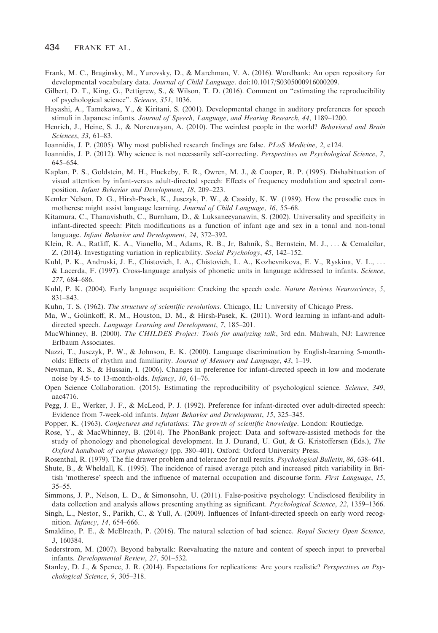- Frank, M. C., Braginsky, M., Yurovsky, D., & Marchman, V. A. (2016). Wordbank: An open repository for developmental vocabulary data. Journal of Child Language. doi[:10.1017/S0305000916000209.](https://doi.org/10.1017/S0305000916000209)
- Gilbert, D. T., King, G., Pettigrew, S., & Wilson, T. D. (2016). Comment on "estimating the reproducibility of psychological science". Science, 351, 1036.
- Hayashi, A., Tamekawa, Y., & Kiritani, S. (2001). Developmental change in auditory preferences for speech stimuli in Japanese infants. Journal of Speech, Language, and Hearing Research, 44, 1189-1200.
- Henrich, J., Heine, S. J., & Norenzayan, A. (2010). The weirdest people in the world? Behavioral and Brain Sciences, 33, 61–83.
- Ioannidis, J. P. (2005). Why most published research findings are false. *PLoS Medicine*, 2, e124.
- Ioannidis, J. P. (2012). Why science is not necessarily self-correcting. Perspectives on Psychological Science, 7, 645–654.
- Kaplan, P. S., Goldstein, M. H., Huckeby, E. R., Owren, M. J., & Cooper, R. P. (1995). Dishabituation of visual attention by infant-versus adult-directed speech: Effects of frequency modulation and spectral composition. Infant Behavior and Development, 18, 209–223.
- Kemler Nelson, D. G., Hirsh-Pasek, K., Jusczyk, P. W., & Cassidy, K. W. (1989). How the prosodic cues in motherese might assist language learning. Journal of Child Language, 16, 55–68.
- Kitamura, C., Thanavishuth, C., Burnham, D., & Luksaneeyanawin, S. (2002). Universality and specificity in infant-directed speech: Pitch modifications as a function of infant age and sex in a tonal and non-tonal language. Infant Behavior and Development, 24, 372–392.
- Klein, R. A., Ratliff, K. A., Vianello, M., Adams, R. B., Jr, Bahnık, S., Bernstein, M. J., ... & Cemalcilar, Z. (2014). Investigating variation in replicability. Social Psychology, 45, 142–152.
- Kuhl, P. K., Andruski, J. E., Chistovich, I. A., Chistovich, L. A., Kozhevnikova, E. V., Ryskina, V. L., ... & Lacerda, F. (1997). Cross-language analysis of phonetic units in language addressed to infants. Science, 277, 684–686.
- Kuhl, P. K. (2004). Early language acquisition: Cracking the speech code. Nature Reviews Neuroscience, 5, 831–843.
- Kuhn, T. S. (1962). The structure of scientific revolutions. Chicago, IL: University of Chicago Press.
- Ma, W., Golinkoff, R. M., Houston, D. M., & Hirsh-Pasek, K. (2011). Word learning in infant-and adultdirected speech. Language Learning and Development, 7, 185–201.
- MacWhinney, B. (2000). The CHILDES Project: Tools for analyzing talk, 3rd edn. Mahwah, NJ: Lawrence Erlbaum Associates.
- Nazzi, T., Jusczyk, P. W., & Johnson, E. K. (2000). Language discrimination by English-learning 5-montholds: Effects of rhythm and familiarity. Journal of Memory and Language, 43, 1–19.
- Newman, R. S., & Hussain, I. (2006). Changes in preference for infant-directed speech in low and moderate noise by 4.5- to 13-month-olds. Infancy, 10, 61–76.
- Open Science Collaboration. (2015). Estimating the reproducibility of psychological science. Science, 349, aac4716.
- Pegg, J. E., Werker, J. F., & McLeod, P. J. (1992). Preference for infant-directed over adult-directed speech: Evidence from 7-week-old infants. Infant Behavior and Development, 15, 325–345.
- Popper, K. (1963). Conjectures and refutations: The growth of scientific knowledge. London: Routledge.
- Rose, Y., & MacWhinney, B. (2014). The PhonBank project: Data and software-assisted methods for the study of phonology and phonological development. In J. Durand, U. Gut, & G. Kristoffersen (Eds.), The Oxford handbook of corpus phonology (pp. 380–401). Oxford: Oxford University Press.
- Rosenthal, R. (1979). The file drawer problem and tolerance for null results. *Psychological Bulletin*, 86, 638–641.
- Shute, B., & Wheldall, K. (1995). The incidence of raised average pitch and increased pitch variability in British 'motherese' speech and the influence of maternal occupation and discourse form. First Language, 15, 35–55.
- Simmons, J. P., Nelson, L. D., & Simonsohn, U. (2011). False-positive psychology: Undisclosed flexibility in data collection and analysis allows presenting anything as significant. *Psychological Science*, 22, 1359–1366.
- Singh, L., Nestor, S., Parikh, C., & Yull, A. (2009). Influences of Infant-directed speech on early word recognition. Infancy, 14, 654–666.
- Smaldino, P. E., & McElreath, P. (2016). The natural selection of bad science. Royal Society Open Science, 3, 160384.
- Soderstrom, M. (2007). Beyond babytalk: Reevaluating the nature and content of speech input to preverbal infants. Developmental Review, 27, 501–532.
- Stanley, D. J., & Spence, J. R. (2014). Expectations for replications: Are yours realistic? Perspectives on Psychological Science, 9, 305–318.